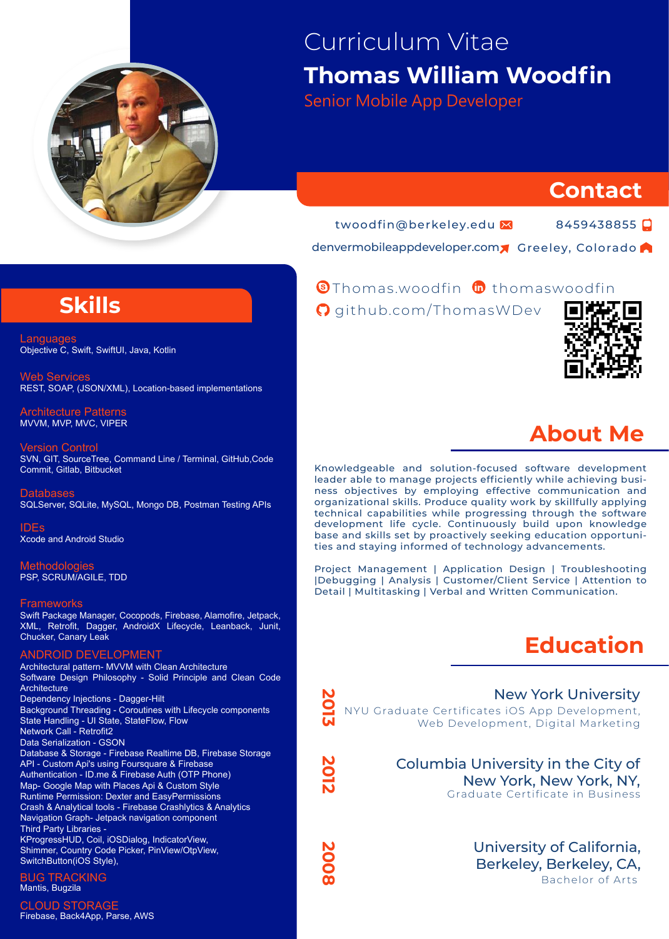

# Curriculum Vitae **Thomas William Woodfin**

Senior Mobile App Developer

### **Contact**

twoodfin@berkeley.edu

8459438855

denvermobileappdeveloper.com Greeley, Colorado

## **Skills**

Languag Objective C, Swift, SwiftUI, Java, Kotlin

Web Services REST, SOAP, (JSON/XML), Location-based implementations

Architecture Patterns MVVM, MVP, MVC, VIPER

Version Control SVN, GIT, SourceTree, Command Line / Terminal, GitHub,Code Commit, Gitlab, Bitbucket

**Databases** SQLServer, SQLite, MySQL, Mongo DB, Postman Testing APIs

IDEs Xcode and Android Studio

**Methodologies** PSP, SCRUM/AGILE, TDD

#### **Frameworks**

Swift Package Manager, Cocopods, Firebase, Alamofire, Jetpack, XML, Retrofit, Dagger, AndroidX Lifecycle, Leanback, Junit, Chucker, Canary Leak

#### ANDROID DEVELOPMENT

Architectural pattern- MVVM with Clean Architecture Software Design Philosophy - Solid Principle and Clean Code **Architecture** Dependency Injections - Dagger-Hilt Background Threading - Coroutines with Lifecycle components State Handling - UI State, StateFlow, Flow Network Call - Retrofit2 Data Serialization - GSON Database & Storage - Firebase Realtime DB, Firebase Storage API - Custom Api's using Foursquare & Firebase Authentication - ID.me & Firebase Auth (OTP Phone) Map- Google Map with Places Api & Custom Style Runtime Permission: Dexter and EasyPermissions Crash & Analytical tools - Firebase Crashlytics & Analytics Navigation Graph- Jetpack navigation component Third Party Libraries - KProgressHUD, Coil, iOSDialog, IndicatorView, Shimmer, Country Code Picker, PinView/OtpView, SwitchButton(iOS Style),

BUG TRACKING Mantis, Bugzila

CLOUD STORAGE Firebase, Back4App, Parse, AWS

### Thomas.woodfin thomaswoodfin **https://www.linkedin.com/in/swiftuiprogrammer/**

**https://github.com/ThomasWDev** github.com/ThomasWDev https://github.com/ThomasWDev



## **About Me**

Knowledgeable and solution-focused software development leader able to manage projects efficiently while achieving business objectives by employing effective communication and organizational skills. Produce quality work by skillfully applying technical capabilities while progressing through the software development life cycle. Continuously build upon knowledge base and skills set by proactively seeking education opportunities and staying informed of technology advancements.

Project Management | Application Design | Troubleshooting |Debugging | Analysis | Customer/Client Service | Attention to Detail | Multitasking | Verbal and Written Communication.

# **Education**

NYU Graduate Certificates iOS App Development, Web Development, Digital Marketing New York University

**2013**

**2012**

**2008**

Graduate Certificate in Business Columbia University in the City of New York, New York, NY,

> Bachelor of Arts University of California, Berkeley, Berkeley, CA,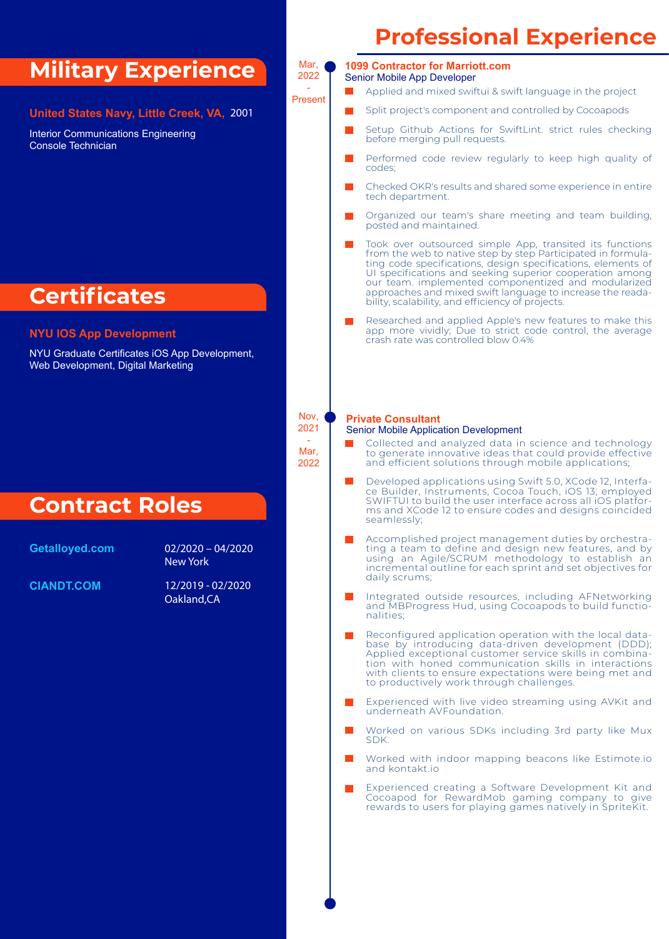### **Military Experience**

**United States Navy, Little Creek, VA,** 2001

Interior Communications Engineering Console Technician

## **Certificates**

#### **NYU IOS App Development**

NYU Graduate Certificates iOS App Development, Web Development, Digital Marketing

### **Contract Roles**

**Getalloyed.com** 02/2020 - 04/2020 New York

**CIANDT.COM** 

**CIANDT.COM** 12/2019 - 02/2020 Oakland,CA

# **Professional Experience**



Present

Nov, 2021 - Mar, 2022

#### Senior Mobile App Developer **1099 Contractor for Marriott.com**

- Applied and mixed swiftui & swift language in the project
- Split project's component and controlled by Cocoapods
- Setup Github Actions for SwiftLint. strict rules checking before merging pull requests.
- Performed code review regularly to keep high quality of codes;
- Checked OKR's results and shared some experience in entire tech department.
- Organized our team's share meeting and team building, posted and maintained.
- Took over outsourced simple App, transited its functions from the web to native step by step Participated in formulating code specifications, design specifications, elements of UI specifications and seeking superior cooperation among our team. implemented componentized and modularized approaches and mixed swift language to increase the readability, scalability, and efficiency of projects.
- Researched and applied Apple's new features to make this app more vividly; Due to strict code control, the average crash rate was controlled blow 0.4%

#### **Private Consultant Private Consultant/**

#### Senior Mobile Application Development

- Collected and analyzed data in science and technology to generate innovative ideas that could provide effective and efficient solutions through mobile applications;
- Developed applications using Swift 5.0, XCode 12, Interface Builder, Instruments, Cocoa Touch, iOS 13; employed SWIFTUI to build the user interface across all iOS platforms and XCode 12 to ensure codes and designs coincided seamlessly;
- Accomplished project management duties by orchestrating a team to define and design new features, and by using an Agile/SCRUM methodology to establish an incremental outline for each sprint and set objectives for daily scrums;
- Integrated outside resources, including AFNetworking and MBProgress Hud, using Cocoapods to build functionalities;
- Reconfigured application operation with the local database by introducing data-driven development (DDD); Applied exceptional customer service skills in combination with honed communication skills in interactions with clients to ensure expectations were being met and to productively work through challenges.
- Experienced with live video streaming using AVKit and underneath AVFoundation.
- **T** Worked on various SDKs including 3rd party like Mux SDK.
- Worked with indoor mapping beacons like Estimote.io and kontakt.io
- Experienced creating a Software Development Kit and Cocoapod for RewardMob gaming company to give rewards to users for playing games natively in SpriteKit.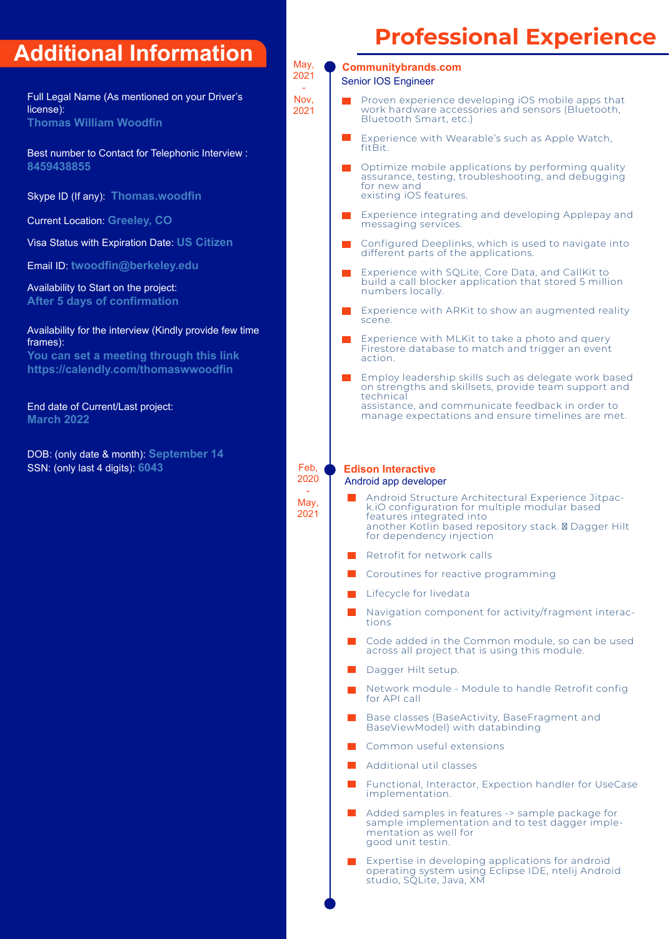## **Additional Information**

Full Legal Name (As mentioned on your Driver's license): **Thomas William Woodfin**

Best number to Contact for Telephonic Interview : **er 8459438855** 

Skype ID (If any): **Thomas.woodfin**

Current Location: **Greeley, CO**

Visa Status with Expiration Date: **US Citizen** 

Email ID: **twoodfin@berkeley.edu**

Availability to Start on the project: **After 5 days of confirmation**

Availability for the interview (Kindly provide few time frames):

**You can set a meeting through this link https://calendly.com/thomaswwoodfin**

End date of Current/Last project: **March 2022**

DOB: (only date & month): **September 14** SSN: (only last 4 digits): **6043**

# **Professional Experience**

#### Senior IOS Engineer **Communitybrands.com**

May, 2021 - **Nov** 2021

- Proven experience developing iOS mobile apps that work hardware accessories and sensors (Bluetooth, Bluetooth Smart, etc.)
- Experience with Wearable's such as Apple Watch, fitRit
- Optimize mobile applications by performing quality assurance, testing, troubleshooting, and debugging for new and existing iOS features.
- Experience integrating and developing Applepay and messaging services.
- Configured Deeplinks, which is used to navigate into different parts of the applications.
- Experience with SQLite, Core Data, and CallKit to build a call blocker application that stored 5 million numbers locally.
- Experience with ARKit to show an augmented reality scene.
- Experience with MLKit to take a photo and query Firestore database to match and trigger an event action.
- Employ leadership skills such as delegate work based on strengths and skillsets, provide team support and technical
	- assistance, and communicate feedback in order to manage expectations and ensure timelines are met.

**Edison Interactive** 

Feb, 2020 - May 2021

#### Android app developer

- Android Structure Architectural Experience Jitpack.iO configuration for multiple modular based features integrated into another Kotlin based repository stack. Dagger Hilt for dependency injection
- Retrofit for network calls
- Coroutines for reactive programming
- Lifecycle for livedata
- Navigation component for activity/fragment interactions
- Code added in the Common module, so can be used across all project that is using this module.
- Dagger Hilt setup.
- Network module Module to handle Retrofit config for API call
- Base classes (BaseActivity, BaseFragment and BaseViewModel) with databinding
- Common useful extensions
- Additional util classes
- Functional, Interactor, Expection handler for UseCase implementation.
- Added samples in features -> sample package for sample implementation and to test dagger implementation as well for good unit testin.
- Expertise in developing applications for android operating system using Eclipse IDE, ntelij Android studio, SQLite, Java, XM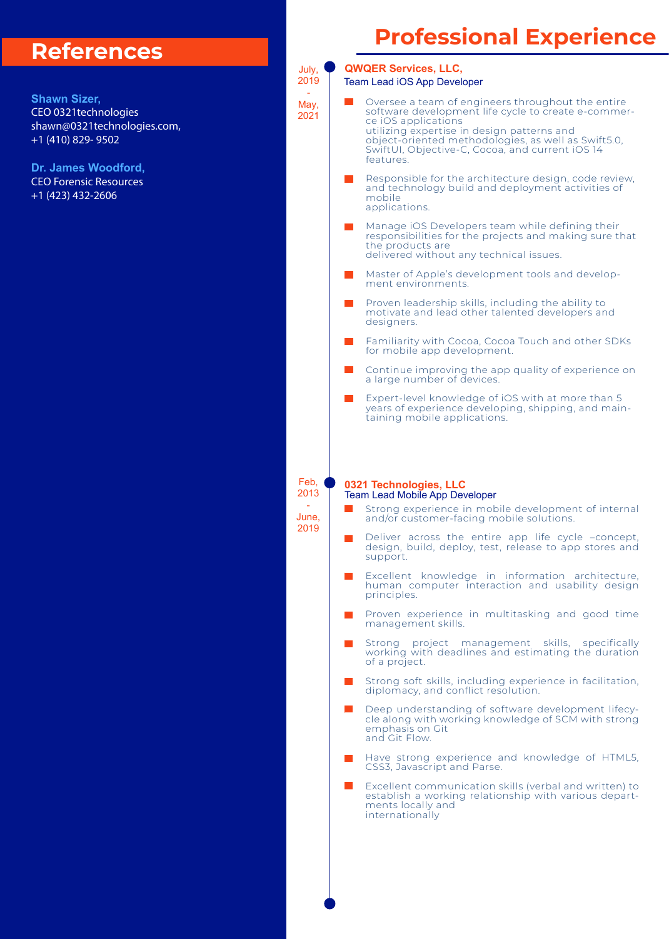### **References**

**Shawn Sizer,** CEO 0321technologies shawn@0321technologies.com, +1 (410) 829- 9502

**Dr. James Woodford,** CEO Forensic Resources +1 (423) 432-2606

# **Professional Experience**

**QWQER Services, LLC,** July, 2019 Team Lead iOS App Developer - Oversee a team of engineers throughout the entire May, software development life cycle to create e-commer-2021 ce iOS applications utilizing expertise in design patterns and object-oriented methodologies, as well as Swift5.0, SwiftUI, Objective-C, Cocoa, and current iOS 14 features. Responsible for the architecture design, code review, **The State** and technology build and deployment activities of mobile applications. Manage iOS Developers team while defining their responsibilities for the projects and making sure that the products are delivered without any technical issues. Master of Apple's development tools and development environments. Proven leadership skills, including the ability to motivate and lead other talented developers and designers. Familiarity with Cocoa, Cocoa Touch and other SDKs for mobile app development. Continue improving the app quality of experience on a large number of devices. Expert-level knowledge of iOS with at more than 5 years of experience developing, shipping, and maintaining mobile applications. Feb, **0321 Technologies, LLC** 2013 Team Lead Mobile App Developer - Strong experience in mobile development of internal June, and/or customer-facing mobile solutions. 2019 Deliver across the entire app life cycle –concept, design, build, deploy, test, release to app stores and support. Excellent knowledge in information architecture, human computer interaction and usability design principles. Proven experience in multitasking and good time management skills. Strong project management skills, specifically working with deadlines and estimating the duration of a project. Strong soft skills, including experience in facilitation, diplomacy, and conflict resolution. Deep understanding of software development lifecycle along with working knowledge of SCM with strong emphasis on Git and Git Flow. Have strong experience and knowledge of HTML5, CSS3, Javascript and Parse. Excellent communication skills (verbal and written) to establish a working relationship with various departments locally and internationally